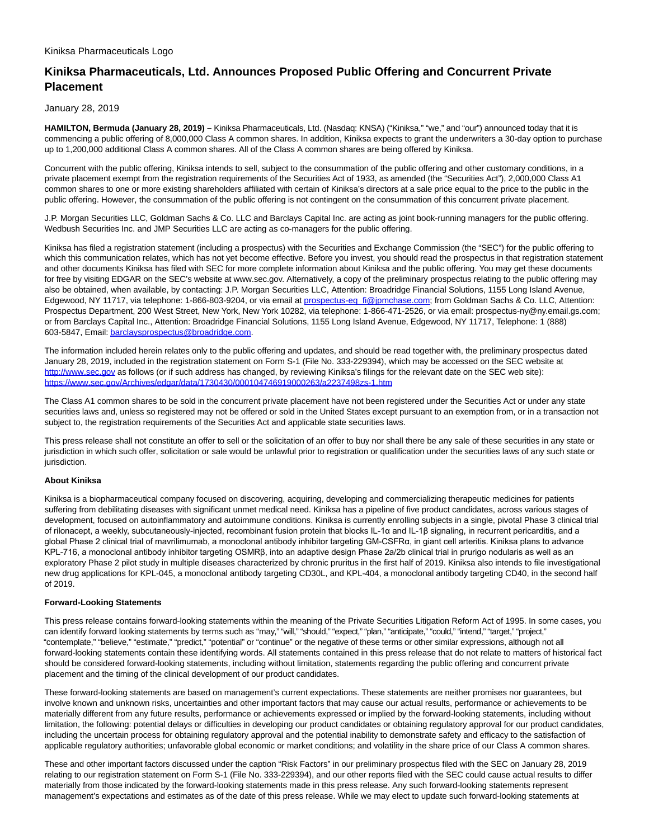## **Kiniksa Pharmaceuticals, Ltd. Announces Proposed Public Offering and Concurrent Private Placement**

January 28, 2019

**HAMILTON, Bermuda (January 28, 2019) –** Kiniksa Pharmaceuticals, Ltd. (Nasdaq: KNSA) ("Kiniksa," "we," and "our") announced today that it is commencing a public offering of 8,000,000 Class A common shares. In addition, Kiniksa expects to grant the underwriters a 30-day option to purchase up to 1,200,000 additional Class A common shares. All of the Class A common shares are being offered by Kiniksa.

Concurrent with the public offering, Kiniksa intends to sell, subject to the consummation of the public offering and other customary conditions, in a private placement exempt from the registration requirements of the Securities Act of 1933, as amended (the "Securities Act"), 2,000,000 Class A1 common shares to one or more existing shareholders affiliated with certain of Kiniksa's directors at a sale price equal to the price to the public in the public offering. However, the consummation of the public offering is not contingent on the consummation of this concurrent private placement.

J.P. Morgan Securities LLC, Goldman Sachs & Co. LLC and Barclays Capital Inc. are acting as joint book-running managers for the public offering. Wedbush Securities Inc. and JMP Securities LLC are acting as co-managers for the public offering.

Kiniksa has filed a registration statement (including a prospectus) with the Securities and Exchange Commission (the "SEC") for the public offering to which this communication relates, which has not yet become effective. Before you invest, you should read the prospectus in that registration statement and other documents Kiniksa has filed with SEC for more complete information about Kiniksa and the public offering. You may get these documents for free by visiting EDGAR on the SEC's website at www.sec.gov. Alternatively, a copy of the preliminary prospectus relating to the public offering may also be obtained, when available, by contacting: J.P. Morgan Securities LLC, Attention: Broadridge Financial Solutions, 1155 Long Island Avenue, Edgewood, NY 11717, via telephone: 1-866-803-9204, or via email at [prospectus-eq\\_fi@jpmchase.com;](mailto:prospectus-eq_fi@jpmchase.com) from Goldman Sachs & Co. LLC, Attention: Prospectus Department, 200 West Street, New York, New York 10282, via telephone: 1-866-471-2526, or via email: prospectus-ny@ny.email.gs.com; or from Barclays Capital Inc., Attention: Broadridge Financial Solutions, 1155 Long Island Avenue, Edgewood, NY 11717, Telephone: 1 (888) 603-5847, Email[: barclaysprospectus@broadridge.com.](mailto:barclaysprospectus@broadridge.com)

The information included herein relates only to the public offering and updates, and should be read together with, the preliminary prospectus dated January 28, 2019, included in the registration statement on Form S-1 (File No. 333-229394), which may be accessed on the SEC website at [http://www.sec.gov a](http://www.sec.gov/)s follows (or if such address has changed, by reviewing Kiniksa's filings for the relevant date on the SEC web site): <https://www.sec.gov/Archives/edgar/data/1730430/000104746919000263/a2237498zs-1.htm>

The Class A1 common shares to be sold in the concurrent private placement have not been registered under the Securities Act or under any state securities laws and, unless so registered may not be offered or sold in the United States except pursuant to an exemption from, or in a transaction not subject to, the registration requirements of the Securities Act and applicable state securities laws.

This press release shall not constitute an offer to sell or the solicitation of an offer to buy nor shall there be any sale of these securities in any state or jurisdiction in which such offer, solicitation or sale would be unlawful prior to registration or qualification under the securities laws of any such state or jurisdiction.

## **About Kiniksa**

Kiniksa is a biopharmaceutical company focused on discovering, acquiring, developing and commercializing therapeutic medicines for patients suffering from debilitating diseases with significant unmet medical need. Kiniksa has a pipeline of five product candidates, across various stages of development, focused on autoinflammatory and autoimmune conditions. Kiniksa is currently enrolling subjects in a single, pivotal Phase 3 clinical trial of rilonacept, a weekly, subcutaneously-injected, recombinant fusion protein that blocks IL-1α and IL-1β signaling, in recurrent pericarditis, and a global Phase 2 clinical trial of mavrilimumab, a monoclonal antibody inhibitor targeting GM-CSFRα, in giant cell arteritis. Kiniksa plans to advance KPL-716, a monoclonal antibody inhibitor targeting OSMRβ, into an adaptive design Phase 2a/2b clinical trial in prurigo nodularis as well as an exploratory Phase 2 pilot study in multiple diseases characterized by chronic pruritus in the first half of 2019. Kiniksa also intends to file investigational new drug applications for KPL-045, a monoclonal antibody targeting CD30L, and KPL-404, a monoclonal antibody targeting CD40, in the second half of 2019.

## **Forward-Looking Statements**

This press release contains forward-looking statements within the meaning of the Private Securities Litigation Reform Act of 1995. In some cases, you can identify forward looking statements by terms such as "may," "will," "should," "expect," "plan," "anticipate," "could," "intend," "target," "project," "contemplate," "believe," "estimate," "predict," "potential" or "continue" or the negative of these terms or other similar expressions, although not all forward-looking statements contain these identifying words. All statements contained in this press release that do not relate to matters of historical fact should be considered forward-looking statements, including without limitation, statements regarding the public offering and concurrent private placement and the timing of the clinical development of our product candidates.

These forward-looking statements are based on management's current expectations. These statements are neither promises nor guarantees, but involve known and unknown risks, uncertainties and other important factors that may cause our actual results, performance or achievements to be materially different from any future results, performance or achievements expressed or implied by the forward-looking statements, including without limitation, the following: potential delays or difficulties in developing our product candidates or obtaining regulatory approval for our product candidates, including the uncertain process for obtaining regulatory approval and the potential inability to demonstrate safety and efficacy to the satisfaction of applicable regulatory authorities; unfavorable global economic or market conditions; and volatility in the share price of our Class A common shares.

These and other important factors discussed under the caption "Risk Factors" in our preliminary prospectus filed with the SEC on January 28, 2019 relating to our registration statement on Form S-1 (File No. 333-229394), and our other reports filed with the SEC could cause actual results to differ materially from those indicated by the forward-looking statements made in this press release. Any such forward-looking statements represent management's expectations and estimates as of the date of this press release. While we may elect to update such forward-looking statements at